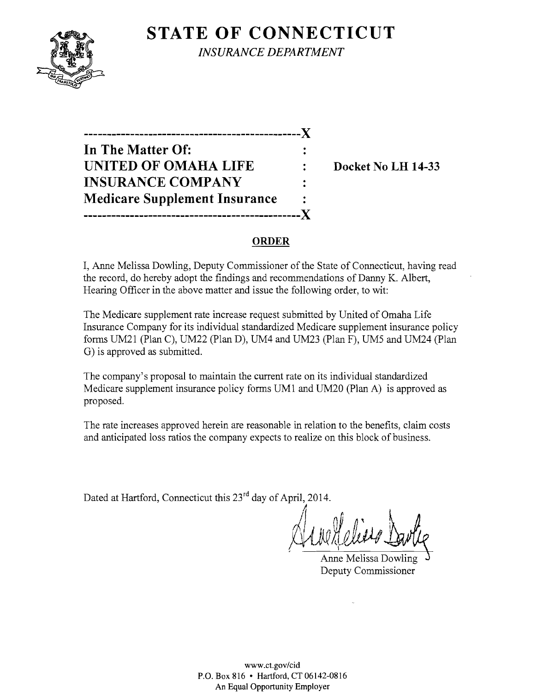# **STATE OF CONNECTICUT**



*INSURANCE DEPARTMENT* 

**-----------------------------------------------J( In The Matter Of: UNITED OF OMAHA LIFE : Docket No LH 14-33 INSURANCE COMPANY Medicare Supplement Insurance -----------------------------------------------J(** 

## **ORDER**

I, Anne Melissa Dowling, Deputy Commissioner of the State of Connecticut, having read the record, do hereby adopt the findings and recommendations of Danny K. Albert, Hearing Officer in the above matter and issue the following order, to wit:

The Medicare supplement rate increase request submitted by United of Omaha Life Insurance Company for its individual standardized Medicare supplement insurance policy forms UM21 (Plan C), UM22 (Plan D), UM4 and UM23 (Plan F), UM5 and UM24 (Plan G) is approved as submitted.

The company's proposal to maintain the current rate on its individual standardized Medicare supplement insurance policy forms  $UM1$  and  $UM20$  (Plan A) is approved as proposed.

The rate increases approved herein are reasonable in relation to the benefits, claim costs and anticipated loss ratios the company expects to realize on this block of business.

Dated at Hartford, Connecticut this 23<sup>rd</sup> day of April, 2014.

II

Anne Melissa Dowling Deputy Commissioner

www.ct.gov/cid P.O. Box 816 • Hartford, CT 06142-0816 An Equal Opportunity Employer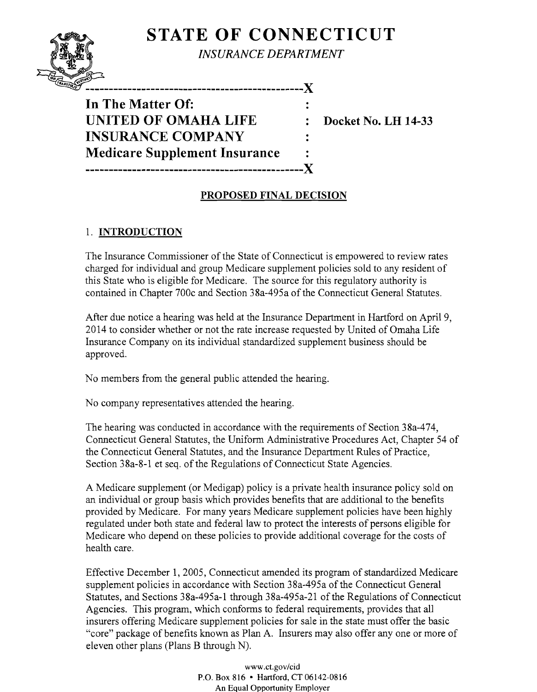# **STATE OF CONNECTICUT**



*INSURANCE DEPARTMENT* 

-------------------------X In The Matter Of: UNITED OF OMAHA LIFE **INSURANCE COMPANY Medicare Supplement Insurance** 

**Docket No. LH 14-33** 

# **PROPOSED FINAL DECISION**

 $\mathbf{r}$ 

### 1. **INTRODUCTION**

The Insurance Commissioner of the State of Connecticut is empowered to review rates charged for individual and group Medicare supplement policies sold to any resident of this State who is eligible for Medicare. The source for this regulatory authority is contained in Chapter 700c and Section 38a-495a of the Connecticut General Statutes.

After due notice a hearing was held at the Insurance Department in Hartford on April 9, 2014 to consider whether or not the rate increase requested by United of Omaha Life Insurance Company on its individual standardized supplement business should be approved.

No members from the general public attended the hearing.

No company representatives attended the hearing.

The hearing was conducted in accordance with the requirements of Section 38a-474, Connecticut General Statutes, the Uniform Administrative Procedures Act, Chapter 54 of the Connecticut General Statutes, and the Insurance Department Rules of Practice, Section 38a-8-1 et seq. of the Regulations of Connecticut State Agencies.

A Medicare supplement (or Medigap) policy is a private health insurance policy sold on an individual or group basis which provides benefits that are additional to the benefits provided by Medicare. For many years Medicare supplement policies have been highly regulated under both state and federal law to protect the interests of persons eligible for Medicare who depend on these policies to provide additional coverage for the costs of health care.

Effective December 1, 2005, Connecticut amended its program of standardized Medicare supplement policies in accordance with Section 38a-495a of the Connecticut General Statutes, and Sections 38a-495a-1 through 38a-495a-21 of the Regulations of Connecticut Agencies. This program, which conforms to federal requirements, provides that all insurers offering Medicare supplement policies for sale in the state must offer the basic "core" package of benefits known as Plan A. Insurers may also offer anyone or more of eleven other plans (Plans B through N).

> www.ct.gov/cid P.O. Box 816 • Hartford, CT 06142-0816 An Equal Opportunity Employer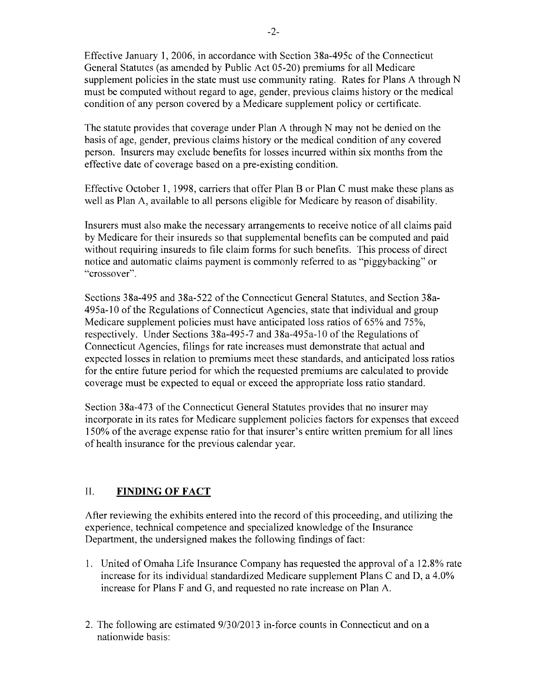Effective January 1,2006, in accordance with Section 38a-495c of the Connecticut General Statutes (as amended by Public Act 05-20) premiums for all Medicare supplement policies in the state must use community rating. Rates for Plans A through N must be computed without regard to age, gender, previous claims history or the medical condition of any person covered by a Medicare supplement policy or certificate.

The statute provides that coverage under Plan A through N may not be denied on the basis of age, gender, previous claims history or the medical condition of any covered person. Insurers may exclude benefits for losses incurred within six months from the effective date of coverage based on a pre-existing condition.

Effective October 1, 1998, carriers that offer Plan B or Plan C must make these plans as well as Plan A, available to all persons eligible for Medicare by reason of disability.

Insurers must also make the necessary arrangements to receive notice of all claims paid by Medicare for their insureds so that supplemental benefits can be computed and paid without requiring insureds to file claim forms for such benefits. This process of direct notice and automatic claims payment is commonly referred to as "piggybacking" or "crossover".

Sections 38a-495 and 38a-522 ofthe Connecticut General Statutes, and Section 38a-495a-10 ofthe Regulations of Connecticut Agencies, state that individual and group Medicare supplement policies must have anticipated loss ratios of 65% and 75%, respectively. Under Sections 38a-495-7 and 38a-495a-10 of the Regulations of Connecticut Agencies, filings for rate increases must demonstrate that actual and expected losses in relation to premiums meet these standards, and anticipated loss ratios for the entire future period for which the requested premiums are calculated to provide coverage must be expected to equal or exceed the appropriate loss ratio standard.

Section 38a-473 of the Connecticut General Statutes provides that no insurer may incorporate in its rates for Medicare supplement policies factors for expenses that exceed 150% of the average expense ratio for that insurer's entire written premium for all lines of health insurance for the previous calendar year.

## II. **FINDING OF FACT**

After reviewing the exhibits entered into the record of this proceeding, and utilizing the experience, technical competence and specialized knowledge of the Insurance Department, the undersigned makes the following findings of fact:

- 1. United of Omaha Life Insurance Company has requested the approval of a 12.8% rate increase for its individual standardized Medicare supplement Plans C and D, a 4.0% increase for Plans F and G, and requested no rate increase on Plan A.
- 2. The following are estimated 9/30/2013 in-force counts in Connecticut and on a nationwide basis: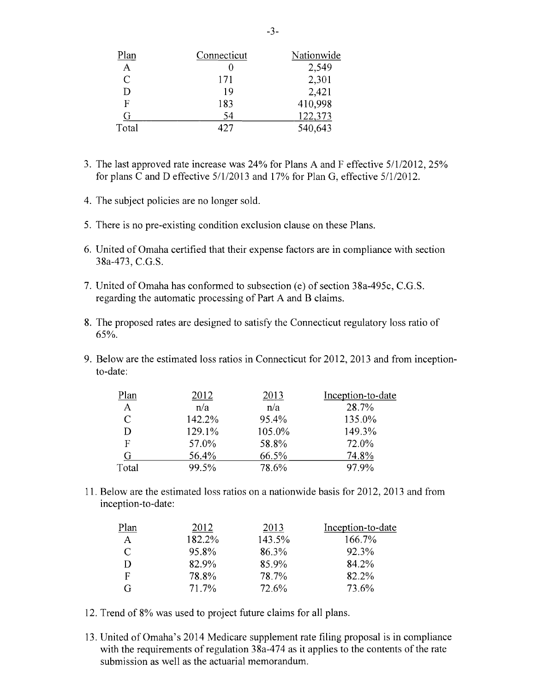| Plan          | Connecticut | Nationwide |
|---------------|-------------|------------|
| A             |             | 2,549      |
| $\mathcal{C}$ | 171         | 2,301      |
| D             | 19          | 2,421      |
| F             | 183         | 410,998    |
| G             | 54          | 122,373    |
| Total         | 427         | 540,643    |

- 3. The last approved rate increase was 24% for Plans A and F effective 511/2012, 25% for plans C and D effective 5/112013 and 17% for Plan G, effective 511/2012.
- 4. The subject policies are no longer sold.
- 5. There is no pre-existing condition exclusion clause on these Plans.
- 6. United of Omaha certified that their expense factors are in compliance with section 38a-473, C.G.S.
- 7. United of Omaha has conformed to subsection (e) of section 38a-495c, C.G.S. regarding the automatic processing of Part A and B claims.
- 8. The proposed rates are designed to satisfy the Connecticut regulatory loss ratio of 65%.
- 9. Below are the estimated loss ratios in Connecticut for 2012,2013 and from inceptionto-date:

| Plan           | 2012   | 2013   | Inception-to-date |
|----------------|--------|--------|-------------------|
| $\overline{A}$ | n/a    | n/a    | 28.7%             |
| C              | 142.2% | 95.4%  | 135.0%            |
|                | 129.1% | 105.0% | 149.3%            |
| F              | 57.0%  | 58.8%  | 72.0%             |
|                | 56.4%  | 66.5%  | 74.8%             |
| Total          | 99.5%  | 78.6%  | 97.9%             |

11. Below are the estimated loss ratios on a nationwide basis for 2012, 2013 and from inception-to-date:

| Plan         | 2012   | 2013   | Inception-to-date |
|--------------|--------|--------|-------------------|
| $\mathbf{A}$ | 182.2% | 143.5% | 166.7%            |
| C            | 95.8%  | 86.3%  | 92.3%             |
| D            | 82.9%  | 85.9%  | 84.2%             |
| F            | 78.8%  | 78.7%  | 82.2%             |
| G            | 71.7%  | 72.6%  | 73.6%             |

- 12. Trend of 8% was used to project future claims for all plans.
- 13. United of Omaha's 2014 Medicare supplement rate filing proposal is in compliance with the requirements of regulation  $38a-474$  as it applies to the contents of the rate submission as well as the actuarial memorandum.